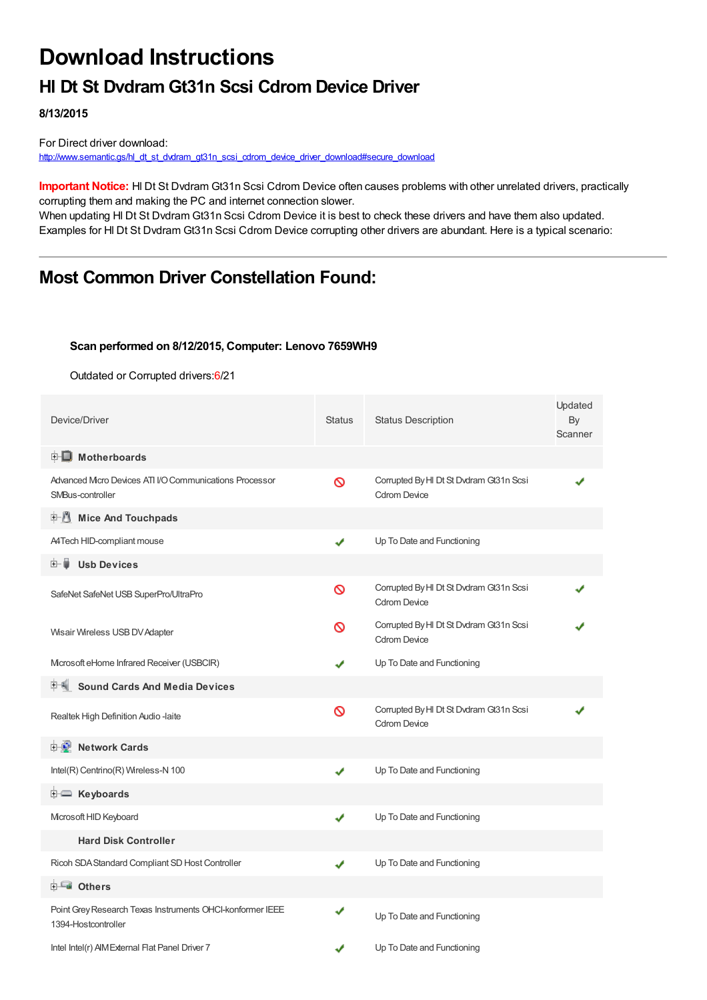# **Download Instructions**

## **Hl Dt St Dvdram Gt31n Scsi Cdrom Device Driver**

**8/13/2015**

For Direct driver download: [http://www.semantic.gs/hl\\_dt\\_st\\_dvdram\\_gt31n\\_scsi\\_cdrom\\_device\\_driver\\_download#secure\\_download](http://www.semantic.gs/hl_dt_st_dvdram_gt31n_scsi_cdrom_device_driver_download#secure_download)

**Important Notice:** Hl Dt St Dvdram Gt31n Scsi Cdrom Device often causes problems with other unrelated drivers, practically corrupting them and making the PC and internet connection slower.

When updating HI Dt St Dvdram Gt31n Scsi Cdrom Device it is best to check these drivers and have them also updated. Examples for Hl Dt St Dvdram Gt31n Scsi Cdrom Device corrupting other drivers are abundant. Here is a typical scenario:

### **Most Common Driver Constellation Found:**

#### **Scan performed on 8/12/2015, Computer: Lenovo 7659WH9**

Outdated or Corrupted drivers:6/21

| Device/Driver                                                                    | <b>Status</b> | <b>Status Description</b>                                      | Updated<br>By<br>Scanner |
|----------------------------------------------------------------------------------|---------------|----------------------------------------------------------------|--------------------------|
| <b>E</b> Motherboards                                                            |               |                                                                |                          |
| Advanced Micro Devices ATI I/O Communications Processor<br>SMBus-controller      | ∾             | Corrupted By HI Dt St Dvdram Gt31n Scsi<br><b>Cdrom Device</b> |                          |
| <b>E-19</b><br><b>Mice And Touchpads</b>                                         |               |                                                                |                          |
| A4Tech HID-compliant mouse                                                       | ✔             | Up To Date and Functioning                                     |                          |
| <b>Usb Devices</b><br>田一篇                                                        |               |                                                                |                          |
| SafeNet SafeNet USB SuperPro/UltraPro                                            | Ø             | Corrupted By HI Dt St Dvdram Gt31n Scsi<br><b>Cdrom Device</b> |                          |
| Wisair Wireless USB DV Adapter                                                   | ଷ             | Corrupted By HI Dt St Dvdram Gt31n Scsi<br><b>Cdrom Device</b> |                          |
| Microsoft eHome Infrared Receiver (USBCIR)                                       |               | Up To Date and Functioning                                     |                          |
| <b>Sound Cards And Media Devices</b>                                             |               |                                                                |                          |
| Realtek High Definition Audio -laite                                             | Ø             | Corrupted By HI Dt St Dvdram Gt31n Scsi<br><b>Cdrom Device</b> |                          |
| <b>D</b> Network Cards                                                           |               |                                                                |                          |
| Intel(R) Centrino(R) Wireless-N 100                                              | ✔             | Up To Date and Functioning                                     |                          |
| <b>E</b> Keyboards                                                               |               |                                                                |                          |
| Microsoft HID Keyboard                                                           | ✔             | Up To Date and Functioning                                     |                          |
| <b>Hard Disk Controller</b>                                                      |               |                                                                |                          |
| Ricoh SDA Standard Compliant SD Host Controller                                  | ✔             | Up To Date and Functioning                                     |                          |
| <b>E</b> Others                                                                  |               |                                                                |                          |
| Point Grey Research Texas Instruments OHCI-konformer IEEE<br>1394-Hostcontroller | √             | Up To Date and Functioning                                     |                          |
| Intel Intel(r) AIM External Flat Panel Driver 7                                  |               | Up To Date and Functioning                                     |                          |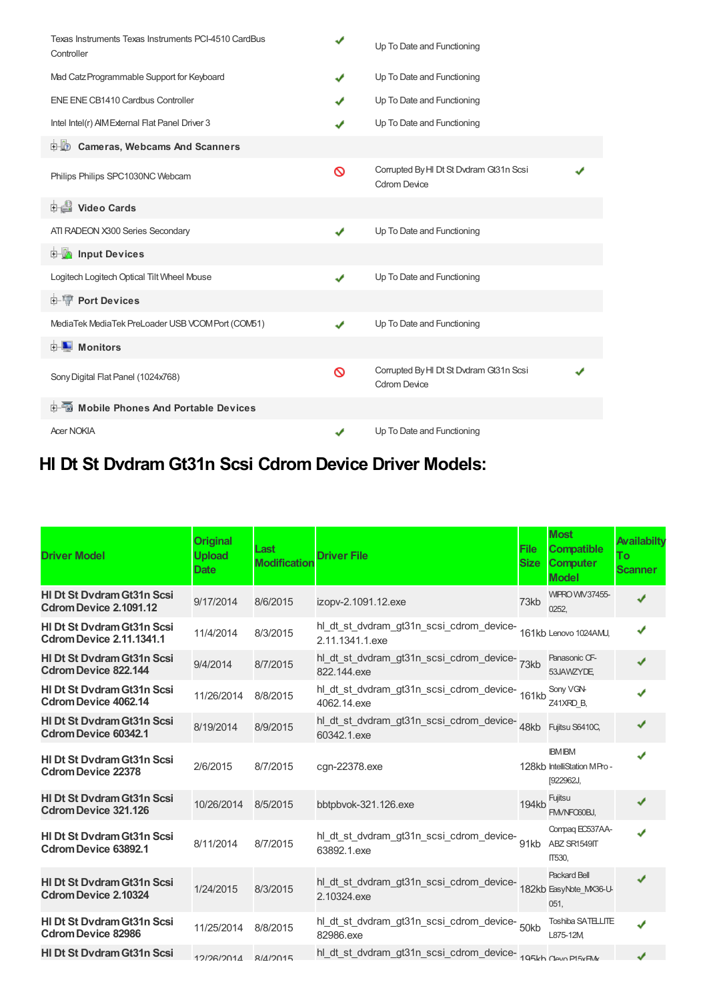| Texas Instruments Texas Instruments PCI-4510 CardBus<br>Controller | ✔ | Up To Date and Functioning                                     |  |
|--------------------------------------------------------------------|---|----------------------------------------------------------------|--|
| Mad Catz Programmable Support for Keyboard                         | ✔ | Up To Date and Functioning                                     |  |
| ENE ENE CB1410 Cardbus Controller                                  | J | Up To Date and Functioning                                     |  |
| Intel Intel(r) AIM External Flat Panel Driver 3                    |   | Up To Date and Functioning                                     |  |
| <b>D</b> Cameras, Webcams And Scanners                             |   |                                                                |  |
| Philips Philips SPC1030NC Webcam                                   | ∾ | Corrupted By HI Dt St Dvdram Gt31n Scsi<br><b>Cdrom Device</b> |  |
| 由 Video Cards                                                      |   |                                                                |  |
| ATI RADEON X300 Series Secondary                                   |   | Up To Date and Functioning                                     |  |
| input Devices                                                      |   |                                                                |  |
| Logitech Logitech Optical Tilt Wheel Mouse                         | ✔ | Up To Date and Functioning                                     |  |
| <b>E-TP</b> Port Devices                                           |   |                                                                |  |
| MediaTek MediaTek PreLoader USB VCOM Port (COM51)                  | J | Up To Date and Functioning                                     |  |
| <b>D</b> Monitors                                                  |   |                                                                |  |
| Sony Digital Flat Panel (1024x768)                                 | ଷ | Corrupted By HI Dt St Dvdram Gt31n Scsi<br><b>Cdrom Device</b> |  |
| 中国 Mobile Phones And Portable Devices                              |   |                                                                |  |
| <b>Acer NOKIA</b>                                                  |   | Up To Date and Functioning                                     |  |

## **Hl Dt St Dvdram Gt31n Scsi Cdrom Device Driver Models:**

| <b>Driver Model</b>                                                  | <b>Original</b><br><b>Upload</b><br><b>Date</b> | Last<br><b>Modification</b> | <b>Driver File</b>                                                                | <b>File</b><br><b>Size</b> | <b>Most</b><br><b>Compatible</b><br><b>Computer</b><br><b>Model</b> | Availabilty<br>To<br><b>Scanner</b> |
|----------------------------------------------------------------------|-------------------------------------------------|-----------------------------|-----------------------------------------------------------------------------------|----------------------------|---------------------------------------------------------------------|-------------------------------------|
| <b>HI Dt St Dydram Gt31n Scsi</b><br>Cdrom Device 2.1091.12          | 9/17/2014                                       | 8/6/2015                    | izopv-2.1091.12.exe                                                               | 73kb                       | <b>WIPRO WIV37455-</b><br>0252.                                     | ✔                                   |
| <b>HI Dt St Dydram Gt31n Scsi</b><br><b>Cdrom Device 2.11.1341.1</b> | 11/4/2014                                       | 8/3/2015                    | hl_dt_st_dvdram_gt31n_scsi_cdrom_device-161kb Lenovo 1024AMJ,<br>2.11.1341.1.exe  |                            |                                                                     | ✔                                   |
| <b>HI Dt St Dydram Gt31n Scsi</b><br><b>Cdrom Device 822.144</b>     | 9/4/2014                                        | 8/7/2015                    | hl_dt_st_dvdram_gt31n_scsi_cdrom_device-73kb<br>822.144.exe                       |                            | Panasonic CF-<br>53JAWZYDE,                                         | J                                   |
| <b>HI Dt St Dydram Gt31n Scsi</b><br><b>Cdrom Device 4062.14</b>     | 11/26/2014                                      | 8/8/2015                    | hl_dt_st_dvdram_gt31n_scsi_cdrom_device-<br>161kb<br>4062.14.exe                  |                            | Sony VGN-<br>Z41XRD_B,                                              | J                                   |
| <b>HI Dt St Dydram Gt31n Scsi</b><br><b>Cdrom Device 60342.1</b>     | 8/19/2014                                       | 8/9/2015                    | hl_dt_st_dvdram_gt31n_scsi_cdrom_device-48kb<br>60342.1.exe                       |                            | Fujitsu S6410C,                                                     | ✔                                   |
| <b>HI Dt St Dydram Gt31n Scsi</b><br><b>Cdrom Device 22378</b>       | 2/6/2015                                        | 8/7/2015                    | cgn-22378.exe                                                                     |                            | <b>IBM IBM</b><br>128kb IntelliStation MPro-<br>[922962J,           |                                     |
| HI Dt St Dvdram Gt31n Scsi<br><b>Cdrom Device 321.126</b>            | 10/26/2014                                      | 8/5/2015                    | bbtpbvok-321.126.exe                                                              | 194kb                      | Fujitsu<br>FM/NFC60BJ.                                              | ✔                                   |
| <b>HI Dt St Dydram Gt31n Scsi</b><br><b>Cdrom Device 63892.1</b>     | 8/11/2014                                       | 8/7/2015                    | hl_dt_st_dvdram_gt31n_scsi_cdrom_device- 91kb<br>63892.1.exe                      |                            | Compag EC537AA-<br>ABZ SR1549IT<br>IT530,                           |                                     |
| <b>HI Dt St Dydram Gt31n Scsi</b><br><b>Cdrom Device 2.10324</b>     | 1/24/2015                                       | 8/3/2015                    | hl_dt_st_dvdram_gt31n_scsi_cdrom_device-<br>182kb EasyNote_MX36-U-<br>2.10324.exe |                            | <b>Packard Bell</b><br>051,                                         |                                     |
| <b>HI Dt St Dydram Gt31n Scsi</b><br><b>Cdrom Device 82986</b>       | 11/25/2014                                      | 8/8/2015                    | hl_dt_st_dvdram_gt31n_scsi_cdrom_device- 50kb<br>82986.exe                        |                            | Toshiba SATELLITE<br>L875-12M                                       |                                     |
| <b>HI Dt St Dydram Gt31n Scsi</b>                                    | $12/26/2014$ $8/1/2015$                         |                             | hl_dt_st_dvdram_gt31n_scsi_cdrom_device-105kh Onio P15vBM                         |                            |                                                                     |                                     |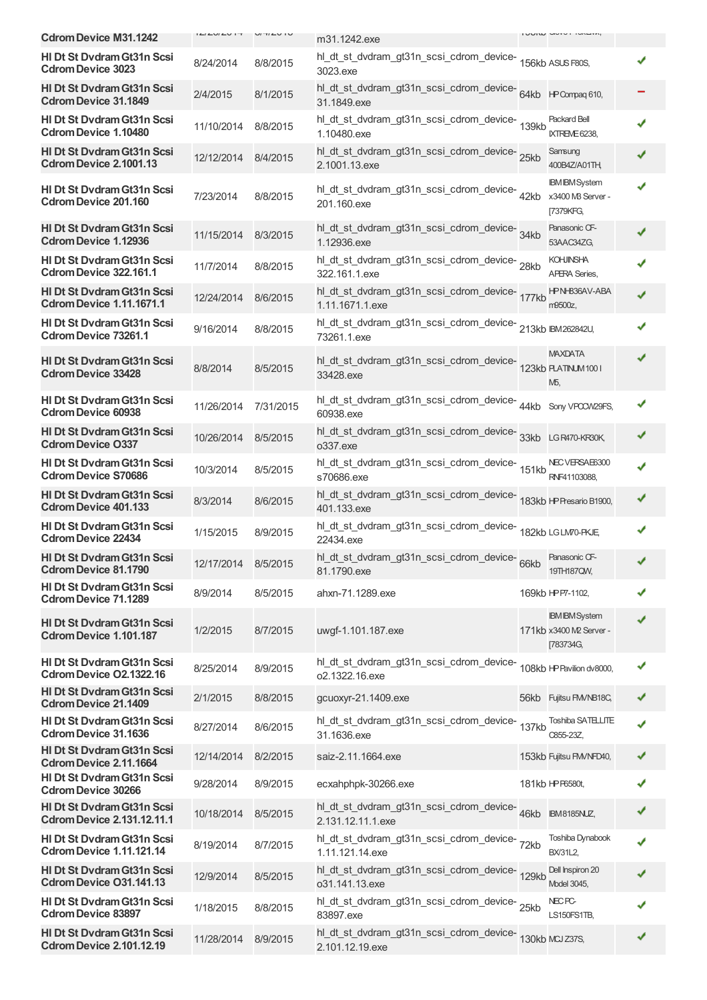|                                                                        |            |           |                                                                            |      | <b>IUUIW UUTU IUALITA,</b>                                    |   |
|------------------------------------------------------------------------|------------|-----------|----------------------------------------------------------------------------|------|---------------------------------------------------------------|---|
| <b>Cdrom Device M31.1242</b>                                           |            | U/T/L     | m31.1242.exe                                                               |      |                                                               |   |
| HI Dt St Dvdram Gt31n Scsi<br><b>Cdrom Device 3023</b>                 | 8/24/2014  | 8/8/2015  | hl_dt_st_dvdram_gt31n_scsi_cdrom_device-<br>156kb ASUS F80S,<br>3023.exe   |      |                                                               |   |
| <b>HI Dt St Dydram Gt31n Scsi</b><br><b>Cdrom Device 31.1849</b>       | 2/4/2015   | 8/1/2015  | hl_dt_st_dvdram_gt31n_scsi_cdrom_device-64kb HPCompaq610,<br>31.1849.exe   |      |                                                               |   |
| <b>HI Dt St Dydram Gt31n Scsi</b><br><b>Cdrom Device 1.10480</b>       | 11/10/2014 | 8/8/2015  | hl_dt_st_dvdram_gt31n_scsi_cdrom_device-<br>139kb<br>1.10480.exe           |      | <b>Packard Bell</b><br>IXTREME 6238,                          |   |
| <b>HI Dt St Dvdram Gt31n Scsi</b><br>Cdrom Device 2.1001.13            | 12/12/2014 | 8/4/2015  | hl_dt_st_dvdram_gt31n_scsi_cdrom_device-<br>25kb<br>2.1001.13.exe          |      | Samsung<br>400B4Z/A01TH,                                      |   |
| <b>HI Dt St Dydram Gt31n Scsi</b><br><b>Cdrom Device 201.160</b>       | 7/23/2014  | 8/8/2015  | hl_dt_st_dvdram_gt31n_scsi_cdrom_device-42kb<br>201.160.exe                |      | <b>IBM IBM System</b><br>x3400 MB Server -<br>[7379KFG,       |   |
| <b>HI Dt St Dvdram Gt31n Scsi</b><br><b>Cdrom Device 1.12936</b>       | 11/15/2014 | 8/3/2015  | hl_dt_st_dvdram_gt31n_scsi_cdrom_device-<br>34kb<br>1.12936.exe            |      | Panasonic CF-<br>53AAC34ZG,                                   |   |
| <b>HI Dt St Dvdram Gt31n Scsi</b><br>Cdrom Device 322.161.1            | 11/7/2014  | 8/8/2015  | hl_dt_st_dvdram_gt31n_scsi_cdrom_device-28kb<br>322.161.1.exe              |      | <b>KOHJINSHA</b><br><b>APERA Series,</b>                      |   |
| <b>HI Dt St Dydram Gt31n Scsi</b><br><b>Cdrom Device 1.11.1671.1</b>   | 12/24/2014 | 8/6/2015  | hl_dt_st_dvdram_gt31n_scsi_cdrom_device-<br>177kb<br>1.11.1671.1.exe       |      | HPNH836AV-ABA<br>m9500z.                                      |   |
| <b>HI Dt St Dydram Gt31n Scsi</b><br><b>Cdrom Device 73261.1</b>       | 9/16/2014  | 8/8/2015  | hl_dt_st_dvdram_gt31n_scsi_cdrom_device-213kb IBM262842U,<br>73261.1.exe   |      |                                                               |   |
| <b>HI Dt St Dvdram Gt31n Scsi</b><br><b>Cdrom Device 33428</b>         | 8/8/2014   | 8/5/2015  | hl_dt_st_dvdram_gt31n_scsi_cdrom_device-<br>123kb RATNUM1001<br>33428.exe  |      | <b>MAXDATA</b><br><b>МБ,</b>                                  |   |
| HI Dt St Dvdram Gt31n Scsi<br><b>Cdrom Device 60938</b>                | 11/26/2014 | 7/31/2015 | hl_dt_st_dvdram_gt31n_scsi_cdrom_device-44kb<br>60938.exe                  |      | Sony VPCCW29FS,                                               |   |
| <b>HI Dt St Dydram Gt31n Scsi</b><br><b>Cdrom Device O337</b>          | 10/26/2014 | 8/5/2015  | hl_dt_st_dvdram_gt31n_scsi_cdrom_device-<br>33kb<br>o337.exe               |      | LG R470-KR30K,                                                |   |
| HI Dt St Dvdram Gt31n Scsi<br><b>Cdrom Device S70686</b>               | 10/3/2014  | 8/5/2015  | hl_dt_st_dvdram_gt31n_scsi_cdrom_device-<br>151kb<br>s70686.exe            |      | NEC VERSAE6300<br>RNF41103088,                                |   |
| <b>HI Dt St Dydram Gt31n Scsi</b><br><b>Cdrom Device 401.133</b>       | 8/3/2014   | 8/6/2015  | 401.133.exe                                                                |      |                                                               |   |
| <b>HI Dt St Dydram Gt31n Scsi</b><br><b>Cdrom Device 22434</b>         | 1/15/2015  | 8/9/2015  | hl_dt_st_dvdram_gt31n_scsi_cdrom_device-<br>182kb LGLM70-PKJE<br>22434.exe |      |                                                               |   |
| HI Dt St Dvdram Gt31n Scsi<br><b>Cdrom Device 81.1790</b>              | 12/17/2014 | 8/5/2015  | hl_dt_st_dvdram_gt31n_scsi_cdrom_device-<br>81.1790.exe                    | 66kb | Panasonic CF-<br>19TH187QW,                                   |   |
| <b>HI Dt St Dydram Gt31n Scsi</b><br><b>Cdrom Device 71.1289</b>       | 8/9/2014   | 8/5/2015  | ahxn-71.1289.exe                                                           |      | 169kb HPP7-1102,                                              |   |
| <b>HI Dt St Dvdram Gt31n Scsi</b><br>Cdrom Device 1.101.187            | 1/2/2015   | 8/7/2015  | uwgf-1.101.187.exe                                                         |      | <b>IBM IBM System</b><br>171kb x3400 M2 Server -<br>[783734G, |   |
| <b>HI Dt St Dydram Gt31n Scsi</b><br>Cdrom Device O2.1322.16           | 8/25/2014  | 8/9/2015  | hl dt_st_dvdram_gt31n_scsi_cdrom_device-<br>o2.1322.16.exe                 |      | 108kb HP Pavilion dv8000,                                     | ✔ |
| <b>HI Dt St Dvdram Gt31n Scsi</b><br><b>Cdrom Device 21.1409</b>       | 2/1/2015   | 8/8/2015  | gcuoxyr-21.1409.exe                                                        |      | 56kb Fujitsu FM/NB18C,                                        | ✔ |
| HI Dt St Dvdram Gt31n Scsi<br><b>Cdrom Device 31.1636</b>              | 8/27/2014  | 8/6/2015  | hl_dt_st_dvdram_gt31n_scsi_cdrom_device-<br>137kb<br>31.1636.exe           |      | Toshiba SATELLITE<br>C855-23Z,                                | ✔ |
| <b>HI Dt St Dvdram Gt31n Scsi</b><br>Cdrom Device 2.11.1664            | 12/14/2014 | 8/2/2015  | saiz-2.11.1664.exe                                                         |      | 153kb Fujitsu FM/NFD40,                                       |   |
| HI Dt St Dvdram Gt31n Scsi<br><b>Cdrom Device 30266</b>                | 9/28/2014  | 8/9/2015  | ecxahphpk-30266.exe                                                        |      | 181kb HPP6580t,                                               | ✔ |
| <b>HI Dt St Dvdram Gt31n Scsi</b><br><b>Cdrom Device 2.131.12.11.1</b> | 10/18/2014 | 8/5/2015  | hl_dt_st_dvdram_gt31n_scsi_cdrom_device-46kb<br>2.131.12.11.1.exe          |      | <b>IBM8185NUZ,</b>                                            | ✔ |
| HI Dt St Dvdram Gt31n Scsi<br><b>Cdrom Device 1.11.121.14</b>          | 8/19/2014  | 8/7/2015  | hl_dt_st_dvdram_gt31n_scsi_cdrom_device-<br>72kb<br>1.11.121.14.exe        |      | Toshiba Dynabook<br><b>BX/31L2,</b>                           |   |
| <b>HI Dt St Dvdram Gt31n Scsi</b><br>Cdrom Device O31.141.13           | 12/9/2014  | 8/5/2015  | hl_dt_st_dvdram_gt31n_scsi_cdrom_device-<br>129kb<br>o31.141.13.exe        |      | Dell Inspiron 20<br>Model 3045,                               |   |
| HI Dt St Dvdram Gt31n Scsi<br><b>Cdrom Device 83897</b>                | 1/18/2015  | 8/8/2015  | hl_dt_st_dvdram_gt31n_scsi_cdrom_device-25kb<br>83897.exe                  |      | NEC PC-<br>LS150FS1TB,                                        |   |
| <b>HI Dt St Dvdram Gt31n Scsi</b><br><b>Cdrom Device 2.101.12.19</b>   | 11/28/2014 | 8/9/2015  | hl_dt_st_dvdram_gt31n_scsi_cdrom_device-130kb MCJZ37S,<br>2.101.12.19.exe  |      |                                                               |   |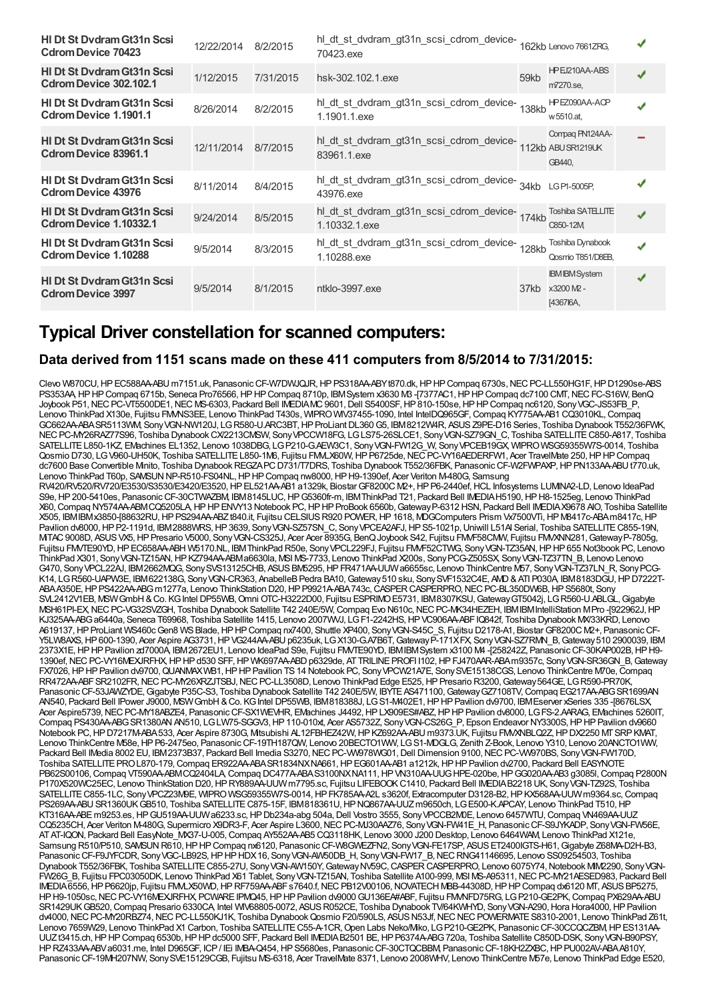| <b>HI Dt St Dydram Gt31n Scsi</b><br><b>Cdrom Device 70423</b>   | 12/22/2014 | 8/2/2015  | hl_dt_st_dvdram_gt31n_scsi_cdrom_device-<br>70423.exe                     |       | 162kb Lenovo 7661ZRG.                            |   |  |
|------------------------------------------------------------------|------------|-----------|---------------------------------------------------------------------------|-------|--------------------------------------------------|---|--|
| <b>HI Dt St Dydram Gt31n Scsi</b><br>Cdrom Device 302.102.1      | 1/12/2015  | 7/31/2015 | hsk-302.102.1.exe                                                         | 59kb  | HPEJ210AA-ABS<br>m7270.se.                       |   |  |
| <b>HI Dt St Dydram Gt31n Scsi</b><br>Cdrom Device 1.1901.1       | 8/26/2014  | 8/2/2015  | hl_dt_st_dvdram_gt31n_scsi_cdrom_device-<br>1.1901.1.exe                  | 138kb | HPEZ090AA-ACP<br>w 5510.at.                      |   |  |
| <b>HI Dt St Dydram Gt31n Scsi</b><br><b>Cdrom Device 83961.1</b> | 12/11/2014 | 8/7/2015  | hl_dt_st_dvdram_gt31n_scsi_cdrom_device-<br>83961.1.exe                   |       | Compag PN124AA-<br>112kb ABUSR1219UK<br>GB440,   |   |  |
| <b>HI Dt St Dydram Gt31n Scsi</b><br><b>Cdrom Device 43976</b>   | 8/11/2014  | 8/4/2015  | hl_dt_st_dvdram_gt31n_scsi_cdrom_device-<br>34kb LGP1-5005P,<br>43976.exe |       |                                                  |   |  |
| <b>HI Dt St Dydram Gt31n Scsi</b><br>Cdrom Device 1.10332.1      | 9/24/2014  | 8/5/2015  | hl_dt_st_dvdram_gt31n_scsi_cdrom_device-174kb<br>1.10332.1.exe            |       | <b>Toshiba SATELLITE</b><br>C850-12M             | ✔ |  |
| <b>HI Dt St Dydram Gt31n Scsi</b><br><b>Cdrom Device 1.10288</b> | 9/5/2014   | 8/3/2015  | hl_dt_st_dvdram_gt31n_scsi_cdrom_device-<br>128kb<br>1.10288.exe          |       | Toshiba Dynabook<br>Qosmio T851/D8EB.            | √ |  |
| <b>HI Dt St Dydram Gt31n Scsi</b><br><b>Cdrom Device 3997</b>    | 9/5/2014   | 8/1/2015  | ntklo-3997.exe                                                            | 37kb  | <b>IBM IBM System</b><br>x3200 M2 -<br>[4367]6A, | ✔ |  |

## **Typical Driver constellation for scanned computers:**

### **Data derived from 1151 scans made on these 411 computers from 8/5/2014 to 7/31/2015:**

Clevo W870CU, HP EC588AA-ABU m7151.uk, Panasonic CF-W7DWJQJR, HP PS318AA-ABYt870.dk, HP HP Compaq 6730s, NEC PC-LL550HG1F, HP D1290se-ABS PS353AA,HPHPCompaq 6715b, Seneca Pro76566,HPHPCompaq 8710p, IBMSystem x3630 M3 -[7377AC1,HPHPCompaq dc7100 CMT,NECFC-S16W, BenQ Joybook P51, NEC PC-VT5500DE1, NEC MS-6303, Packard Bell IMEDIAMC9601, Dell S5400SF, HP 810-150se, HP HP Compaq nc6120, Sony VGC-JS53FB P, Lenovo ThinkPad X130e, Fujitsu FMVNS3EE, Lenovo ThinkPad T430s, WIPROWIV37455-1090, Intel IntelDQ965GF,Compaq KY775AA-AB1 CQ3010KL,Compaq GC662AA-ABASR5113WM, SonyVGN-NW120J, LGR580-U.ARC3BT,HPProLiantDL360G5, IBM8212W4R, ASUSZ9PE-D16 Series, Toshiba Dynabook T552/36FWK, NECPC-MY26RAZ77S96, Toshiba DynabookCX/2213CMSW, SonyVPCCW18FG, LGLS75-26SLCE1, SonyVGN-SZ79GN\_C, Toshiba SATELLITEC850-A817, Toshiba SATELLITEL850-1KZ, EMachines EL1352, Lenovo 1038DBG, LGP210-G.AEW3C1, SonyVGN-FW12G\_W, SonyVPCEB19GX, WIPROWSG59355W7S-0014, Toshiba Qosmio D730, LG V960-UH50K, Toshiba SATELLITE L850-1M6, Fujitsu FMALX60W, HP P6725de, NEC PC-VY16AEDERFW1, Acer TravelMate 250, HP HP Compaq dc7600 Base Convertible Mnito, Toshiba Dynabook REGZAPC D731/T7DRS, Toshiba Dynabook T552/36FBK, Panasonic CF-W2FWPAXP, HP PN133AA-ABU t770.uk, Lenovo ThinkPad T60p, SAMSUN NP-R510-FS04NL, HP HP Compaq nw8000, HP H9-1390ef, Acer Veriton M-480G, Samsung

RV420/RV520/RV720/E3530/S3530/E3420/E3520,HPEL521AA-AB1 a1329k, BiostarGF8200C M2+,HPP6-2440ef,HCL Infosystems LUMINA2-LD, Lenovo IdeaPad S9e,HP200-5410es, PanasonicCF-30CTWAZBM, IBM8145LUC,HPG5360fr-m, IBMThinkPad T21, Packard Bell IMEDIAH5190,HPH8-1525eg, Lenovo ThinkPad X60,Compaq NY574AA-ABMCQ5205LA,HPHPENVY13 Notebook PC,HPHPProBook 6560b,GatewayP-6312 HSN, Packard Bell IMEDIAX9678 AIO, Toshiba Satellite X505, IBMIBMx3850-[88632RU,HPPS294AA-ABZt840.it, Fujitsu CELSIUSR920 POWER,HP1618, MDGComputers Prism Vx7500VTi,HPM8417c-ABAm8417c,HP Pavilion dv8000, HP P2-1191d, IBM2888WRS, HP3639, Sony VGN-SZ57SN C, Sony VPCEA2AFJ, HPS5-1021p, Uniwill L51AI Serial, Toshiba SATELLITE C855-19N, MTAC 9008D, ASUS VX5, HP Presario V5000, Sony VGN-CS325J, Acer Acer 8935G, BenQ Joybook S42, Fujitsu FMMF58CMW, Fujitsu FMMXNN281, Gateway P-7805g, Fujitsu FMVTE90YD, HP EC658AA-ABH W5170.NL, IBM ThinkPad R50e, Sony VPCL229FJ, Fujitsu FMVF52CTWG, Sony VGN-TZ35AN, HP HP 655 Not3book PC, Lenovo ThinkPad X301, Sony VGN-TZ15AN, HP KZ794AA-ABMa6630la, MSI MS-7733, Lenovo ThinkPad X200s, Sony PCG-Z505SX, Sony VGN-TZ37TN\_B, Lenovo Lenovo G470, SonyVPCL22AJ, IBM2662MQG, SonySVS13125CHB, ASUSBM5295,HPFR471AA-UUWa6655sc, Lenovo ThinkCentre M57, SonyVGN-TZ37LN\_R, SonyPCG-K14, LGR560-UAPW3E, IBM622138G, Sony VGN-CR363, AnabelleB Pedra BA10, Gateway 510 sku, Sony SVF1532C4E, AVD & ATI P030A, IBM8183DGU, HP D7222T-ABAA350E, HP PS422AA-ABG m1277a, Lenovo ThinkStation D20, HP P9921A-ABA743c, CASPER CASPERPRO, NEC PC-BL350DW6B, HP S5680t, Sony SVL2412V1EB, MSWGmbH&Co. KGIntel DP55WB,Omni OTC-H3222D00, Fujitsu ESPRIMOE5731, IBM8307KSU,GatewayGT5042j, LGR560-U.ABLGL,Gigabyte MSH61PI-EX, NEC PC-VG32SVZGH, Toshiba Dynabook Satellite T42 240E/5W, Compaq Evo N610c, NEC PC-MK34HEZEH, IBMIBMIntelliStation MPro -[922962J, HP KJ325AA-ABG a6440a, Seneca T69968, Toshiba Satellite 1415, Lenovo 2007WVJ, LGF1-2242HS, HPVC906AA-ABFIQ842f, Toshiba Dynabook MX33KRD, Lenovo A619137, HP ProLiant WS460c Gen8 WS Blade, HP HP Compaq nx7400, Shuttle XP400, Sony VGN-S45C\_S, Fujitsu D2178-A1, Biostar GF8200C M2+, Panasonic CF-Y5LW8AXS,HP600-1390, Acer Aspire AG3731,HPVG244AA-ABUp6235uk, LGX130-G.A7B6T,GatewayP-171XFX, SonyVGN-SZ7RMN\_B,Gateway510 2900039, IBM 2373X1E,HPHPPavilion zd7000A, IBM2672EU1, Lenovo IdeaPad S9e, Fujitsu FMVTE90YD, IBMIBMSystem x3100 M4 -[258242Z, PanasonicCF-30KAP002B,HPH9- 1390ef, NEC PC-VY16MEXJRFHX, HP HP d530 SFF, HP WK697AA-ABD p6329de, AT TRILINE PROFI I102, HP FJ470AAR-ABAm9357c, Sony VGN-SR36GN\_B, Gateway FX7026, HPHP Pavilion dv9700, QUANMAXWB1, HPHP Pavilion TS14 Notebook PC, Sony VPCW21A7E, Sony SVE15138CGS, Lenovo ThinkCentre M70e, Compaq RR472AA-ABFSR2102FR,NECPC-MY26XRZJTSBJ,NECPC-LL3508D, Lenovo ThinkPad Edge E525,HPPresario R3200,Gateway564GE, LGR590-PR70K, Panasonic CF-53JAWZYDE, Gigabyte P35C-S3, Toshiba Dynabook Satellite T42 240E/5W, IBYTE AS471100, Gateway GZ7108TV, Compaq EG217AA-ABG SR1699AN AN540, Packard Bell IPower J9000, MSWGmbH&Co. KGIntel DP55WB, IBM818388J, LGS1-M402E1,HPHPPavilion dv9700, IBMEserver xSeries 335 -[8676LSX, Acer Aspire5739, NEC PC-MY18ABZE4, Panasonic CF-SX1WEVHR, EMachines J4492, HP LX909ES#ABZ, HP HP Pavilion dv8000, LGFS-2.AARAG, EMachines 5260IT, Compaq PS430AA-ABG SR1380AN AN510, LGLW75-SGGV3, HP110-010xt, Acer AS5732Z, Sony VGN-CS26G\_P, Epson Endeavor NY3300S, HPHP Pavilion dv9660 Notebook PC, HP D7217M-ABA533, Acer Aspire 8730G, Mitsubishi AL12FBHEZ42W, HP KZ692AA-ABU m9373.UK, Fujitsu FMXNBLQ2Z, HP DX2250 MT SRP KMAT, Lenovo ThinkCentre M58e,HPP6-2475eo, PanasonicCF-19TH187QW, Lenovo 20BECTO1WW, LGS1-MDGLG, Zenith Z-Book, Lenovo Y310, Lenovo 20ANCTO1WW, Packard Bell IMedia 8002 EU, IBM2373B37, Packard Bell Imedia S3270, NEC PC-VW978WG01, Dell Dimension 9100, NEC PC-VW970BS, Sony VGN-FW170D, Toshiba SATELLITE PRO L870-179, Compaq ER922AA-ABA SR1834NXNA661, HP EG601AA-AB1 a1212k, HP HP Pavilion dv2700, Packard Bell EASYNOTE PB62S00106, Compaq VT590AA-ABMCQ2404LA, Compaq DC477A-ABAS3100NXNA111, HP VN310AA-UUG HPE-020be, HP GG020AA-AB3 g3085l, Compaq P2800N P170X520WC25EC, Lenovo ThinkStation D20,HPRY889AA-UUWm7795.sc, Fujitsu LIFEBOOKC1410, Packard Bell IMEDIAB2218 UK, SonyVGN-TZ92S, Toshiba SATELLITEC855-1LC, SonyVPCZ23M9E, WIPROWSG59355W7S-0014,HPFK785AA-A2L s3620f, Extracomputer D3128-B2,HPKX568AA-UUWm9364.sc,Compaq PS269AA-ABU SR1360UK GB510, Toshiba SATELLITE C875-15F, IBM818361U, HP NQ867AA-UUZ m9650ch, LG E500-K.APCAY, Lenovo ThinkPad T510, HP KT316AA-ABE m9253.es, HP GU519AA-UUW a6233.sc, HP Db234a-abg 504a, Dell Vostro 3555, Sony VPCCB2M0E, Lenovo 6457WTU, Compaq VN469AA-UUZ CQ5235CH, Acer Veriton M-480G, Supermicro X9DR3-F, Acer Aspire L3600, NEC PC-MJ30AAZ76, Sony VGN-FW41E\_H, Panasonic CF-S9JYKADP, Sony VGN-FW56E, ATAT-IQON, Packard Bell EasyNote\_MX37-U-005,Compaq AY552AA-AB5 CQ3118HK, Lenovo 3000 J200 Desktop, Lenovo 6464WAM, Lenovo ThinkPad X121e, Samsung R510/P510, SAMSUN R610, HP HP Compaq nx6120, Panasonic CF-W8GWEZFN2, Sony VGN-FE17SP, ASUS ET2400IGTS-H61, Gigabyte Z68MA-D2H-B3, Panasonic CF-F9JYFCDR, Sony VGC-LB92S, HP HP HDX16, Sony VGN-AW50DB\_H, Sony VGN-FW17\_B, NEC RNG41146695, Lenovo SS09254503, Toshiba Dynabook T552/36FBK, Toshiba SATELLITE C855-27U, Sony VGN-AW150Y, Gateway NV59C, CASPER CASPERPRO, Lenovo 6075Y74, Notebook MIV2290, Sony VGN-FW26G\_B, Fujitsu FPC03050DK, Lenovo ThinkPad X61 Tablet, SonyVGN-TZ15AN, Toshiba Satellite A100-999, MSI MS-A95311,NECPC-MY21AESED983, Packard Bell IMEDIA6556, HP P6620jp, Fujitsu FMMLX50WD, HP RF759AA-ABF s7640.f, NEC PB12V00106, NOVATECH MBB-44308D, HP HP Compaq dx6120 MT, ASUS BP5275, HPH9-1050sc, NEC PC-VY16MEXJRFHX, PCWARE IPMQ45, HPHP Pavilion dv9000 GU136EA#ABF, Fujitsu FMMFD75RG, LG P210-GE2PK, Compaq PX629AA-ABU SR1429UKGB520, Compag Presario 6330CA Intel WIV68805-0072, ASUS R052CE, Toshiba Dynabook TV/64KWHYD, Sony VGN-A290, Hora Hora4000, HP Pavilion dv4000, NEC PC-MY20RBZ74, NEC PC-LL550KJ1K, Toshiba Dynabook Qosmio F20/590LS, ASUS N53Jf, NEC NEC POWERMATE S8310-2001, Lenovo ThinkPad Z61t, Lenovo 7659W29, Lenovo ThinkPad X1 Carbon, Toshiba SATELLITEC55-A-1CR,Open Labs Neko/Miko, LGP210-GE2PK, PanasonicCF-30CCQCZBM,HPES131AA-UUZt3415.ch,HPHPCompaq 6530b,HPHPdc5000 SFF, Packard Bell IMEDIAB2501 BE,HPP6374A-ABG720a, Toshiba Satellite C850D-DSK, SonyVGN-B90PSY, HPRZ433AA-ABVa6031.me, Intel D965GF, ICP/ IEi IMBA-Q454,HPS5680es, PanasonicCF-30CTQCBBM, PanasonicCF-18KH2ZXBC,HPPU002AV-ABAA810Y, Panasonic CF-19MH207NW, Sony SVE15129CGB, Fujitsu MS-6318, Acer TravelMate 8371, Lenovo 2008WHV, Lenovo ThinkCentre M57e, Lenovo ThinkPad Edge E520,